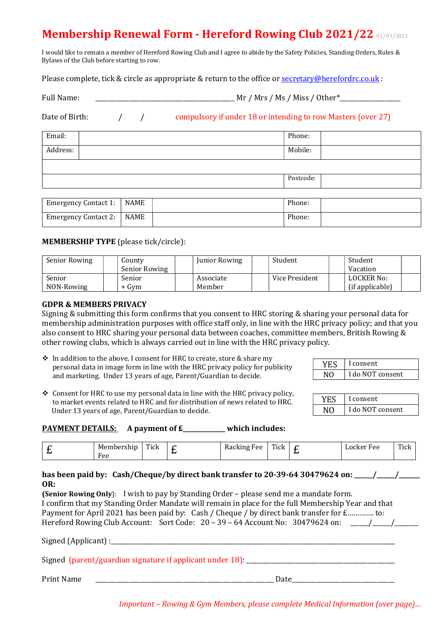# Membership Renewal Form - Hereford Rowing Club 2021/22 01/03/2021

I would like to remain a member of Hereford Rowing Club and I agree to abide by the Safety Policies, Standing Orders, Rules & Bylaws of the Club before starting to row.

Please complete, tick & circle as appropriate & return to the office or secretary@herefordrc.co.uk :

| <b>Full Name:</b> | Mr | Mrs | 'Ms.   | Miss, | ' Other* |
|-------------------|----|-----|--------|-------|----------|
|                   |    |     | $\sim$ |       |          |

Date of Birth:  $\frac{1}{2}$  / compulsory if under 18 or intending to row Masters (over 27)

| Email:   |                             |      | Phone:    |
|----------|-----------------------------|------|-----------|
| Address: |                             |      | Mobile:   |
|          |                             |      |           |
|          |                             |      | Postcode: |
|          |                             |      |           |
|          | <b>Emergency Contact 1:</b> | NAME | Phone:    |

### MEMBERSHIP TYPE (please tick/circle):

| Senior Rowing | County        | Junior Rowing | Student        | Student         |
|---------------|---------------|---------------|----------------|-----------------|
|               | Senior Rowing |               |                | Vacation        |
| Senior        | Senior        | Associate     | Vice President | LOCKER No:      |
| NON-Rowing    | + Gvm         | Member        |                | (if applicable) |

#### GDPR & MEMBERS PRIVACY

Signing & submitting this form confirms that you consent to HRC storing & sharing your personal data for membership administration purposes with office staff only, in line with the HRC privacy policy; and that you also consent to HRC sharing your personal data between coaches, committee members, British Rowing & other rowing clubs, which is always carried out in line with the HRC privacy policy.

 In addition to the above, I consent for HRC to create, store & share my personal data in image form in line with the HRC privacy policy for publicity and marketing. Under 13 years of age, Parent/Guardian to decide.

Emergency Contact 2: NAME Phone:

| I consent        |
|------------------|
| I do NOT consent |

 $\triangle$  Consent for HRC to use my personal data in line with the HRC privacy policy, to market events related to HRC and for distribution of news related to HRC. Under 13 years of age, Parent/Guardian to decide.

|    | I consent        |
|----|------------------|
| NΩ | I do NOT consent |

## PAYMENT DETAILS: A payment of  $E_$  which includes:

| ™ t<br><b>IF</b><br>$   -$<br>_____<br>عەنب<br>ิ๛ | $\mathbf{m}$<br>Tick | ء ہ<br>٬۵۰<br>- -<br>. . | $\mathbf{m}$<br>Fick | ∸ | ء ص<br>.w<br>. .<br>__<br>___ | $T$ Times<br>11 U.V<br>_____ |
|---------------------------------------------------|----------------------|--------------------------|----------------------|---|-------------------------------|------------------------------|

### has been paid by: Cash/Cheque/by direct bank transfer to 20-39-64 30479624 on:  $\qquad$  / OR:

(Senior Rowing Only): I wish to pay by Standing Order – please send me a mandate form. I confirm that my Standing Order Mandate will remain in place for the full Membership Year and that Payment for April 2021 has been paid by: Cash / Cheque / by direct bank transfer for £.............. to: Hereford Rowing Club Account: Sort Code: 20 – 39 – 64 Account No: 30479624 on: \_\_\_\_\_\_\_\_\_\_\_\_\_\_\_\_\_\_\_\_\_\_\_\_\_\_\_\_\_\_\_

Signed (Applicant) :

| Signed (parent/guardian signature if applicant under 18): |  |
|-----------------------------------------------------------|--|
|                                                           |  |

Print Name \_\_\_\_\_\_\_\_\_\_\_\_\_\_\_\_\_\_\_\_\_\_\_\_\_\_\_\_\_\_\_\_\_\_\_\_\_\_\_\_\_\_\_\_\_\_\_\_\_\_\_\_\_\_\_\_\_\_\_ Date\_\_\_\_\_\_\_\_\_\_\_\_\_\_\_\_\_\_\_\_\_\_\_\_\_\_\_\_\_\_\_\_\_\_

Important – Rowing & Gym Members, please complete Medical Information (over page)…